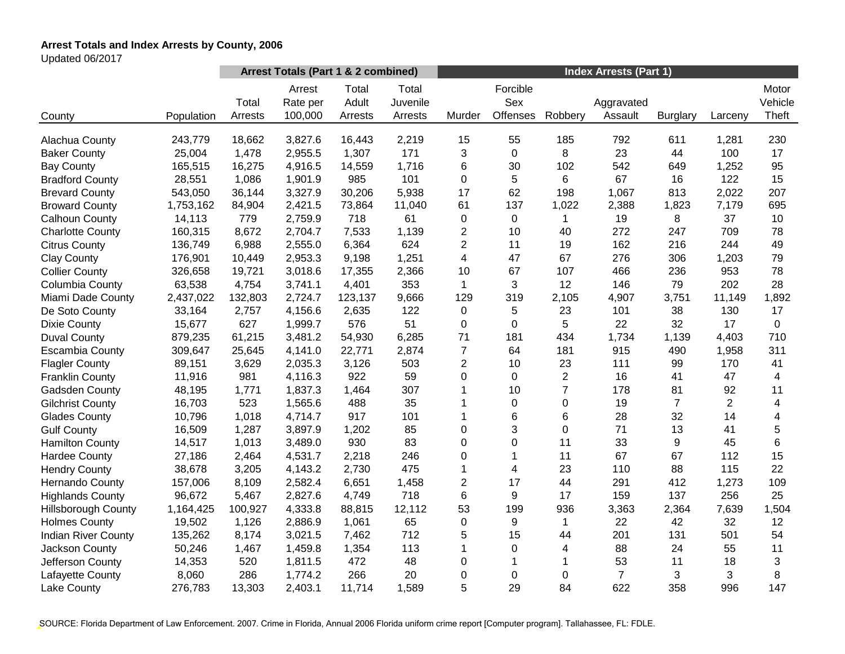# **Arrest Totals and Index Arrests by County, 2006**

Updated 06/2017

|                            |            |                  | Arrest Totals (Part 1 & 2 combined) |                           |                              | <b>Index Arrests (Part 1)</b> |                             |                |                       |                 |                |                           |  |
|----------------------------|------------|------------------|-------------------------------------|---------------------------|------------------------------|-------------------------------|-----------------------------|----------------|-----------------------|-----------------|----------------|---------------------------|--|
| County                     | Population | Total<br>Arrests | Arrest<br>Rate per<br>100,000       | Total<br>Adult<br>Arrests | Total<br>Juvenile<br>Arrests | Murder                        | Forcible<br>Sex<br>Offenses | Robbery        | Aggravated<br>Assault | <b>Burglary</b> | Larceny        | Motor<br>Vehicle<br>Theft |  |
| Alachua County             | 243,779    | 18,662           | 3,827.6                             | 16,443                    | 2,219                        | 15                            | 55                          | 185            | 792                   | 611             | 1,281          | 230                       |  |
| <b>Baker County</b>        | 25,004     | 1,478            | 2,955.5                             | 1,307                     | 171                          | 3                             | $\mathbf 0$                 | 8              | 23                    | 44              | 100            | 17                        |  |
| <b>Bay County</b>          | 165,515    | 16,275           | 4,916.5                             | 14,559                    | 1,716                        | 6                             | 30                          | 102            | 542                   | 649             | 1,252          | 95                        |  |
| <b>Bradford County</b>     | 28,551     | 1,086            | 1,901.9                             | 985                       | 101                          | 0                             | 5                           | 6              | 67                    | 16              | 122            | 15                        |  |
| <b>Brevard County</b>      | 543,050    | 36,144           | 3,327.9                             | 30,206                    | 5,938                        | 17                            | 62                          | 198            | 1,067                 | 813             | 2,022          | 207                       |  |
| <b>Broward County</b>      | 1,753,162  | 84,904           | 2,421.5                             | 73,864                    | 11,040                       | 61                            | 137                         | 1,022          | 2,388                 | 1,823           | 7,179          | 695                       |  |
| <b>Calhoun County</b>      | 14,113     | 779              | 2,759.9                             | 718                       | 61                           | 0                             | 0                           |                | 19                    | 8               | 37             | 10                        |  |
| <b>Charlotte County</b>    | 160,315    | 8,672            | 2,704.7                             | 7,533                     | 1,139                        | 2                             | 10                          | 40             | 272                   | 247             | 709            | 78                        |  |
| <b>Citrus County</b>       | 136,749    | 6,988            | 2,555.0                             | 6,364                     | 624                          | $\overline{2}$                | 11                          | 19             | 162                   | 216             | 244            | 49                        |  |
| <b>Clay County</b>         | 176,901    | 10,449           | 2,953.3                             | 9,198                     | 1,251                        | $\overline{\mathbf{4}}$       | 47                          | 67             | 276                   | 306             | 1,203          | 79                        |  |
| <b>Collier County</b>      | 326,658    | 19,721           | 3,018.6                             | 17,355                    | 2,366                        | 10                            | 67                          | 107            | 466                   | 236             | 953            | 78                        |  |
| Columbia County            | 63,538     | 4,754            | 3,741.1                             | 4,401                     | 353                          | $\mathbf{1}$                  | 3                           | 12             | 146                   | 79              | 202            | 28                        |  |
| Miami Dade County          | 2,437,022  | 132,803          | 2,724.7                             | 123,137                   | 9,666                        | 129                           | 319                         | 2,105          | 4,907                 | 3,751           | 11,149         | 1,892                     |  |
| De Soto County             | 33,164     | 2,757            | 4,156.6                             | 2,635                     | 122                          | $\pmb{0}$                     | 5                           | 23             | 101                   | 38              | 130            | 17                        |  |
| <b>Dixie County</b>        | 15,677     | 627              | 1,999.7                             | 576                       | 51                           | 0                             | $\Omega$                    | 5              | 22                    | 32              | 17             | 0                         |  |
| <b>Duval County</b>        | 879,235    | 61,215           | 3,481.2                             | 54,930                    | 6,285                        | 71                            | 181                         | 434            | 1,734                 | 1,139           | 4,403          | 710                       |  |
| <b>Escambia County</b>     | 309,647    | 25,645           | 4,141.0                             | 22,771                    | 2,874                        | $\overline{7}$                | 64                          | 181            | 915                   | 490             | 1,958          | 311                       |  |
| <b>Flagler County</b>      | 89,151     | 3,629            | 2,035.3                             | 3,126                     | 503                          | $\overline{2}$                | 10                          | 23             | 111                   | 99              | 170            | 41                        |  |
| <b>Franklin County</b>     | 11,916     | 981              | 4,116.3                             | 922                       | 59                           | 0                             | $\mathbf 0$                 | $\overline{2}$ | 16                    | 41              | 47             | 4                         |  |
| Gadsden County             | 48,195     | 1,771            | 1,837.3                             | 1,464                     | 307                          | 1                             | 10                          | $\overline{7}$ | 178                   | 81              | 92             | 11                        |  |
| <b>Gilchrist County</b>    | 16,703     | 523              | 1,565.6                             | 488                       | 35                           | 1                             | $\mathbf 0$                 | 0              | 19                    | $\overline{7}$  | $\overline{2}$ | 4                         |  |
| <b>Glades County</b>       | 10,796     | 1,018            | 4,714.7                             | 917                       | 101                          |                               | 6                           | 6              | 28                    | 32              | 14             | 4                         |  |
| <b>Gulf County</b>         | 16,509     | 1,287            | 3,897.9                             | 1,202                     | 85                           | $\Omega$                      | 3                           | $\Omega$       | 71                    | 13              | 41             | 5                         |  |
| <b>Hamilton County</b>     | 14,517     | 1,013            | 3,489.0                             | 930                       | 83                           | $\Omega$                      | $\Omega$                    | 11             | 33                    | 9               | 45             | $\,6\,$                   |  |
| <b>Hardee County</b>       | 27,186     | 2,464            | 4,531.7                             | 2,218                     | 246                          | 0                             | 1                           | 11             | 67                    | 67              | 112            | 15                        |  |
| <b>Hendry County</b>       | 38,678     | 3,205            | 4,143.2                             | 2,730                     | 475                          | 1                             | 4                           | 23             | 110                   | 88              | 115            | 22                        |  |
| Hernando County            | 157,006    | 8,109            | 2,582.4                             | 6,651                     | 1,458                        | $\overline{c}$                | 17                          | 44             | 291                   | 412             | 1,273          | 109                       |  |
| <b>Highlands County</b>    | 96,672     | 5,467            | 2,827.6                             | 4,749                     | 718                          | 6                             | 9                           | 17             | 159                   | 137             | 256            | 25                        |  |
| <b>Hillsborough County</b> | 1,164,425  | 100,927          | 4,333.8                             | 88,815                    | 12,112                       | 53                            | 199                         | 936            | 3,363                 | 2,364           | 7,639          | 1,504                     |  |
| <b>Holmes County</b>       | 19,502     | 1,126            | 2,886.9                             | 1,061                     | 65                           | 0                             | 9                           | 1              | 22                    | 42              | 32             | 12                        |  |
| <b>Indian River County</b> | 135,262    | 8,174            | 3,021.5                             | 7,462                     | 712                          | 5                             | 15                          | 44             | 201                   | 131             | 501            | 54                        |  |
| Jackson County             | 50,246     | 1,467            | 1,459.8                             | 1,354                     | 113                          | 1                             | 0                           | 4              | 88                    | 24              | 55             | 11                        |  |
| Jefferson County           | 14,353     | 520              | 1,811.5                             | 472                       | 48                           | 0                             | 1                           | 1              | 53                    | 11              | 18             | $\mathfrak{S}$            |  |
| Lafayette County           | 8,060      | 286              | 1,774.2                             | 266                       | 20                           | 0                             | 0                           | 0              | $\overline{7}$        | 3               | 3              | 8                         |  |
| Lake County                | 276,783    | 13,303           | 2,403.1                             | 11,714                    | 1,589                        | 5                             | 29                          | 84             | 622                   | 358             | 996            | 147                       |  |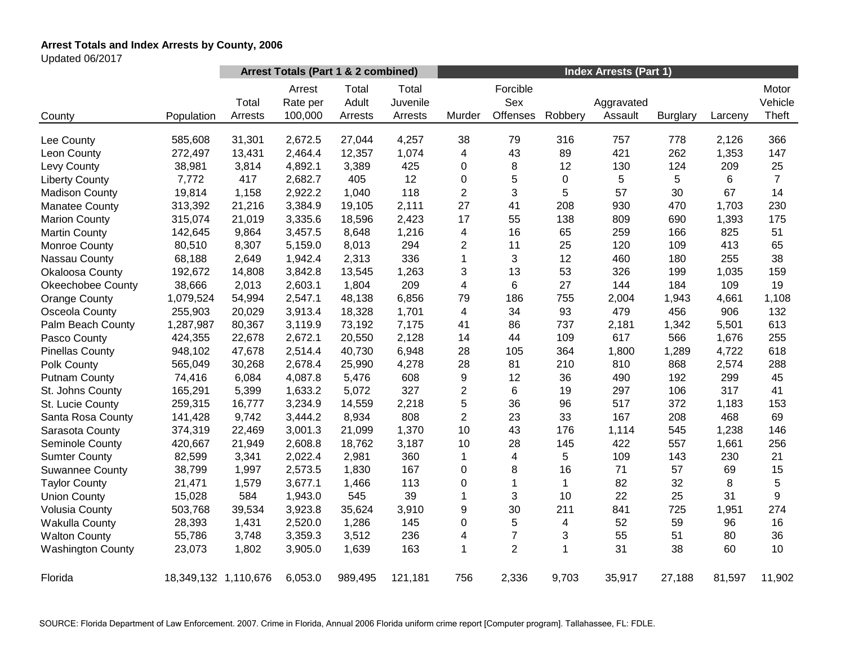# **Arrest Totals and Index Arrests by County, 2006**

Updated 06/2017

|                          |                      | Arrest Totals (Part 1 & 2 combined) |                               |                           |                              | <b>Index Arrests (Part 1)</b> |                             |              |                       |                 |         |                           |
|--------------------------|----------------------|-------------------------------------|-------------------------------|---------------------------|------------------------------|-------------------------------|-----------------------------|--------------|-----------------------|-----------------|---------|---------------------------|
| County                   | Population           | Total<br>Arrests                    | Arrest<br>Rate per<br>100,000 | Total<br>Adult<br>Arrests | Total<br>Juvenile<br>Arrests | Murder                        | Forcible<br>Sex<br>Offenses | Robbery      | Aggravated<br>Assault | <b>Burglary</b> | Larceny | Motor<br>Vehicle<br>Theft |
|                          |                      |                                     |                               |                           |                              |                               |                             |              |                       |                 |         |                           |
| Lee County               | 585,608              | 31,301                              | 2,672.5                       | 27,044                    | 4,257                        | 38                            | 79                          | 316          | 757                   | 778             | 2,126   | 366                       |
| Leon County              | 272,497              | 13,431                              | 2,464.4                       | 12,357                    | 1,074                        | 4                             | 43                          | 89           | 421                   | 262             | 1,353   | 147                       |
| Levy County              | 38,981               | 3,814                               | 4,892.1                       | 3,389                     | 425                          | 0                             | 8                           | 12           | 130                   | 124             | 209     | 25                        |
| <b>Liberty County</b>    | 7,772                | 417                                 | 2,682.7                       | 405                       | 12                           | 0                             | 5                           | 0            | 5                     | 5               | 6       | $\overline{7}$            |
| <b>Madison County</b>    | 19,814               | 1,158                               | 2,922.2                       | 1,040                     | 118                          | $\overline{2}$                | 3                           | 5            | 57                    | 30              | 67      | 14                        |
| <b>Manatee County</b>    | 313,392              | 21,216                              | 3,384.9                       | 19,105                    | 2,111                        | 27                            | 41                          | 208          | 930                   | 470             | 1,703   | 230                       |
| <b>Marion County</b>     | 315,074              | 21,019                              | 3,335.6                       | 18,596                    | 2,423                        | 17                            | 55                          | 138          | 809                   | 690             | 1,393   | 175                       |
| <b>Martin County</b>     | 142,645              | 9,864                               | 3,457.5                       | 8,648                     | 1,216                        | 4                             | 16                          | 65           | 259                   | 166             | 825     | 51                        |
| Monroe County            | 80,510               | 8,307                               | 5,159.0                       | 8,013                     | 294                          | $\overline{c}$                | 11                          | 25           | 120                   | 109             | 413     | 65                        |
| Nassau County            | 68,188               | 2,649                               | 1,942.4                       | 2,313                     | 336                          | 1                             | 3                           | 12           | 460                   | 180             | 255     | 38                        |
| Okaloosa County          | 192,672              | 14,808                              | 3,842.8                       | 13,545                    | 1,263                        | 3                             | 13                          | 53           | 326                   | 199             | 1,035   | 159                       |
| <b>Okeechobee County</b> | 38,666               | 2,013                               | 2,603.1                       | 1,804                     | 209                          | 4                             | 6                           | 27           | 144                   | 184             | 109     | 19                        |
| <b>Orange County</b>     | 1,079,524            | 54,994                              | 2,547.1                       | 48,138                    | 6,856                        | 79                            | 186                         | 755          | 2,004                 | 1,943           | 4,661   | 1,108                     |
| Osceola County           | 255,903              | 20,029                              | 3,913.4                       | 18,328                    | 1,701                        | 4                             | 34                          | 93           | 479                   | 456             | 906     | 132                       |
| Palm Beach County        | 1,287,987            | 80,367                              | 3,119.9                       | 73,192                    | 7,175                        | 41                            | 86                          | 737          | 2,181                 | 1,342           | 5,501   | 613                       |
| Pasco County             | 424,355              | 22,678                              | 2,672.1                       | 20,550                    | 2,128                        | 14                            | 44                          | 109          | 617                   | 566             | 1,676   | 255                       |
| <b>Pinellas County</b>   | 948,102              | 47,678                              | 2,514.4                       | 40,730                    | 6,948                        | 28                            | 105                         | 364          | 1,800                 | 1,289           | 4,722   | 618                       |
| Polk County              | 565,049              | 30,268                              | 2,678.4                       | 25,990                    | 4,278                        | 28                            | 81                          | 210          | 810                   | 868             | 2,574   | 288                       |
| <b>Putnam County</b>     | 74,416               | 6,084                               | 4,087.8                       | 5,476                     | 608                          | 9                             | 12                          | 36           | 490                   | 192             | 299     | 45                        |
| St. Johns County         | 165,291              | 5,399                               | 1,633.2                       | 5,072                     | 327                          | $\overline{c}$                | 6                           | 19           | 297                   | 106             | 317     | 41                        |
| St. Lucie County         | 259,315              | 16,777                              | 3,234.9                       | 14,559                    | 2,218                        | 5                             | 36                          | 96           | 517                   | 372             | 1,183   | 153                       |
| Santa Rosa County        | 141,428              | 9,742                               | 3,444.2                       | 8,934                     | 808                          | $\overline{c}$                | 23                          | 33           | 167                   | 208             | 468     | 69                        |
| Sarasota County          | 374,319              | 22,469                              | 3,001.3                       | 21,099                    | 1,370                        | 10                            | 43                          | 176          | 1,114                 | 545             | 1,238   | 146                       |
| Seminole County          | 420,667              | 21,949                              | 2,608.8                       | 18,762                    | 3,187                        | 10                            | 28                          | 145          | 422                   | 557             | 1,661   | 256                       |
| <b>Sumter County</b>     | 82,599               | 3,341                               | 2,022.4                       | 2,981                     | 360                          | $\mathbf{1}$                  | 4                           | 5            | 109                   | 143             | 230     | 21                        |
| <b>Suwannee County</b>   | 38,799               | 1,997                               | 2,573.5                       | 1,830                     | 167                          | 0                             | 8                           | 16           | 71                    | 57              | 69      | 15                        |
| <b>Taylor County</b>     | 21,471               | 1,579                               | 3,677.1                       | 1,466                     | 113                          | 0                             | $\mathbf{1}$                | $\mathbf{1}$ | 82                    | 32              | 8       | $\sqrt{5}$                |
| <b>Union County</b>      | 15,028               | 584                                 | 1,943.0                       | 545                       | 39                           | 1                             | 3                           | 10           | 22                    | 25              | 31      | 9                         |
| <b>Volusia County</b>    | 503,768              | 39,534                              | 3,923.8                       | 35,624                    | 3,910                        | 9                             | 30                          | 211          | 841                   | 725             | 1,951   | 274                       |
| <b>Wakulla County</b>    | 28,393               | 1,431                               | 2,520.0                       | 1,286                     | 145                          | 0                             | 5                           | 4            | 52                    | 59              | 96      | 16                        |
| <b>Walton County</b>     | 55,786               | 3,748                               | 3,359.3                       | 3,512                     | 236                          | 4                             | $\overline{7}$              | 3            | 55                    | 51              | 80      | 36                        |
| <b>Washington County</b> | 23,073               | 1,802                               | 3,905.0                       | 1,639                     | 163                          | 1                             | $\overline{2}$              | 1            | 31                    | 38              | 60      | 10                        |
|                          |                      |                                     |                               |                           |                              |                               |                             |              |                       |                 |         |                           |
| Florida                  | 18,349,132 1,110,676 |                                     | 6,053.0                       | 989,495                   | 121,181                      | 756                           | 2,336                       | 9,703        | 35,917                | 27,188          | 81,597  | 11,902                    |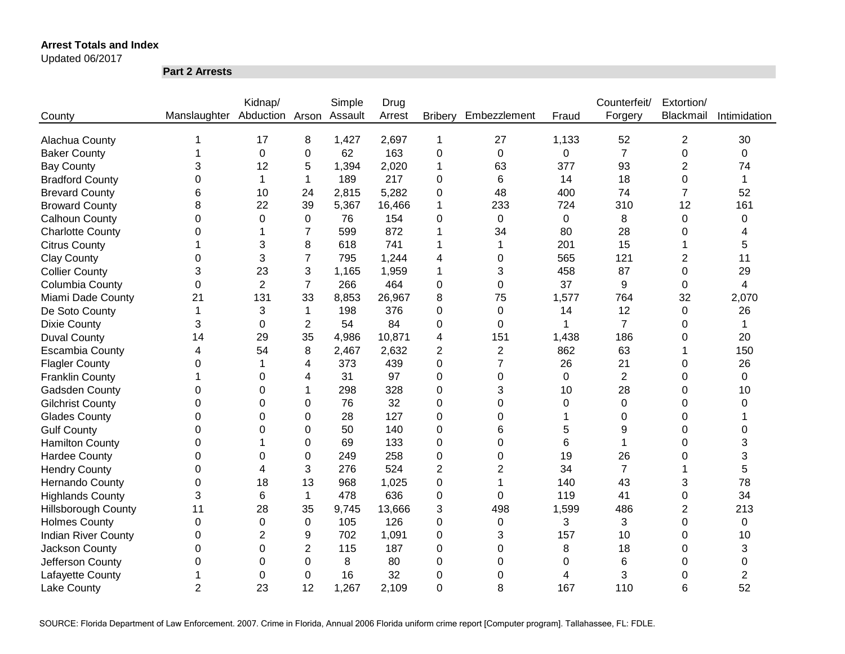Updated 06/2017

**Part 2 Arrests**

|                            |                              | Kidnap/        |                | Simple  | Drug   |                |                |             | Counterfeit/   | Extortion/              |                |
|----------------------------|------------------------------|----------------|----------------|---------|--------|----------------|----------------|-------------|----------------|-------------------------|----------------|
| County                     | Manslaughter Abduction Arson |                |                | Assault | Arrest | <b>Bribery</b> | Embezzlement   | Fraud       | Forgery        | Blackmail               | Intimidation   |
|                            |                              |                |                |         |        |                |                |             |                |                         |                |
| Alachua County             |                              | 17             | 8              | 1,427   | 2,697  | 1              | 27             | 1,133       | 52             | 2                       | 30             |
| <b>Baker County</b>        |                              | $\mathbf 0$    | 0              | 62      | 163    | $\mathbf 0$    | $\mathbf 0$    | 0           | $\overline{7}$ | 0                       | 0              |
| <b>Bay County</b>          | 3                            | 12             | 5              | 1,394   | 2,020  | 1              | 63             | 377         | 93             | $\overline{2}$          | 74             |
| <b>Bradford County</b>     | 0                            | $\mathbf 1$    | 1              | 189     | 217    | 0              | 6              | 14          | 18             | 0                       | 1              |
| <b>Brevard County</b>      | 6                            | 10             | 24             | 2,815   | 5,282  | 0              | 48             | 400         | 74             | $\overline{7}$          | 52             |
| <b>Broward County</b>      | 8                            | 22             | 39             | 5,367   | 16,466 | 1              | 233            | 724         | 310            | 12                      | 161            |
| <b>Calhoun County</b>      | 0                            | $\Omega$       | 0              | 76      | 154    | 0              | 0              | $\mathbf 0$ | 8              | 0                       | 0              |
| <b>Charlotte County</b>    | 0                            |                | 7              | 599     | 872    | 1              | 34             | 80          | 28             | 0                       | 4              |
| <b>Citrus County</b>       |                              | 3              | 8              | 618     | 741    | 1              | 1              | 201         | 15             |                         | 5              |
| <b>Clay County</b>         | 0                            | 3              | 7              | 795     | 1,244  | 4              | 0              | 565         | 121            | 2                       | 11             |
| <b>Collier County</b>      | 3                            | 23             | 3              | 1,165   | 1,959  | 1              | 3              | 458         | 87             | 0                       | 29             |
| Columbia County            | 0                            | $\overline{2}$ | $\overline{7}$ | 266     | 464    | 0              | 0              | 37          | 9              | 0                       | 4              |
| Miami Dade County          | 21                           | 131            | 33             | 8,853   | 26,967 | 8              | 75             | 1,577       | 764            | 32                      | 2,070          |
| De Soto County             | $\mathbf 1$                  | 3              | 1              | 198     | 376    | 0              | 0              | 14          | 12             | 0                       | 26             |
| <b>Dixie County</b>        | 3                            | $\Omega$       | $\overline{2}$ | 54      | 84     | 0              | $\Omega$       | 1           | $\overline{7}$ | 0                       | 1              |
| <b>Duval County</b>        | 14                           | 29             | 35             | 4,986   | 10,871 | 4              | 151            | 1,438       | 186            | 0                       | 20             |
| <b>Escambia County</b>     | 4                            | 54             | 8              | 2,467   | 2,632  | $\overline{2}$ | $\overline{c}$ | 862         | 63             |                         | 150            |
| <b>Flagler County</b>      | 0                            |                | 4              | 373     | 439    | $\Omega$       | 7              | 26          | 21             | 0                       | 26             |
| <b>Franklin County</b>     |                              | $\Omega$       | 4              | 31      | 97     | 0              | $\Omega$       | 0           | $\overline{2}$ | 0                       | $\mathbf 0$    |
| <b>Gadsden County</b>      | 0                            | 0              |                | 298     | 328    | $\overline{0}$ | 3              | 10          | 28             | 0                       | 10             |
| <b>Gilchrist County</b>    | 0                            | $\Omega$       | 0              | 76      | 32     | 0              | 0              | 0           | $\Omega$       | 0                       | 0              |
| <b>Glades County</b>       | 0                            | $\Omega$       | 0              | 28      | 127    | $\Omega$       | 0              |             | $\Omega$       | 0                       |                |
| <b>Gulf County</b>         | 0                            | 0              | $\Omega$       | 50      | 140    | $\Omega$       | 6              | 5           | 9              | 0                       | $\Omega$       |
| <b>Hamilton County</b>     | 0                            |                | 0              | 69      | 133    | 0              | 0              | 6           | 1              | 0                       | 3              |
| <b>Hardee County</b>       | 0                            | 0              | $\Omega$       | 249     | 258    | 0              | 0              | 19          | 26             | 0                       | 3              |
| <b>Hendry County</b>       | 0                            | 4              | 3              | 276     | 524    | $\overline{2}$ | 2              | 34          | $\overline{7}$ |                         | 5              |
| <b>Hernando County</b>     | 0                            | 18             | 13             | 968     | 1,025  | 0              | 1              | 140         | 43             | 3                       | 78             |
| <b>Highlands County</b>    | 3                            | 6              | $\mathbf{1}$   | 478     | 636    | 0              | 0              | 119         | 41             | 0                       | 34             |
| <b>Hillsborough County</b> | 11                           | 28             | 35             | 9,745   | 13,666 | 3              | 498            | 1,599       | 486            | $\overline{\mathbf{c}}$ | 213            |
| <b>Holmes County</b>       | $\boldsymbol{0}$             | $\mathbf 0$    | 0              | 105     | 126    | 0              | 0              | 3           | 3              | 0                       | $\mathbf 0$    |
| <b>Indian River County</b> | 0                            | $\overline{2}$ | 9              | 702     | 1,091  | 0              | 3              | 157         | 10             | 0                       | 10             |
| Jackson County             | 0                            | $\mathbf 0$    | $\overline{2}$ | 115     | 187    | 0              | 0              | 8           | 18             | 0                       | 3              |
| Jefferson County           | 0                            | 0              | 0              | 8       | 80     | 0              | 0              | 0           | 6              | 0                       | 0              |
| Lafayette County           |                              | 0              | 0              | 16      | 32     | 0              | 0              | 4           | 3              | 0                       | $\overline{2}$ |
| <b>Lake County</b>         | $\overline{2}$               | 23             | 12             | 1,267   | 2,109  | $\overline{0}$ | 8              | 167         | 110            | 6                       | 52             |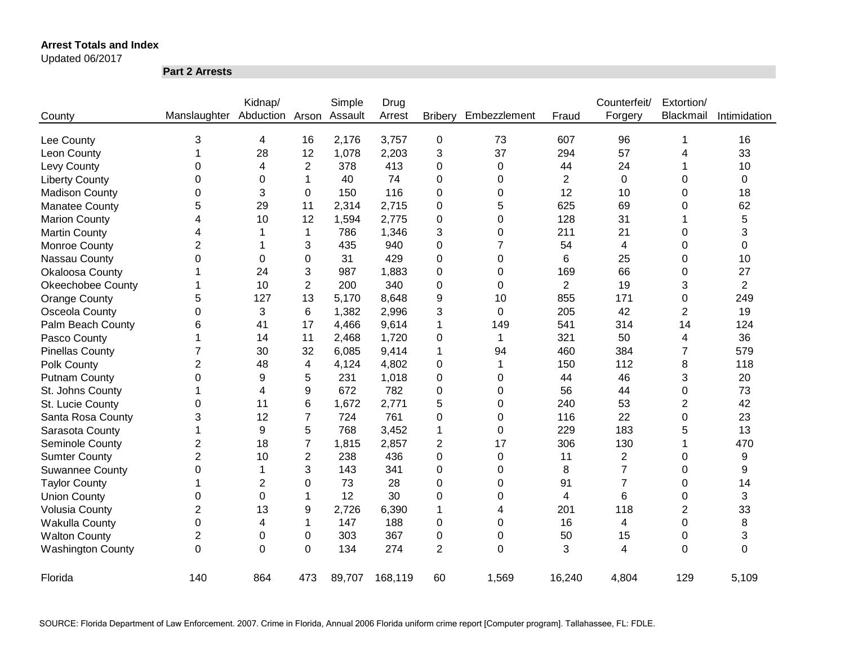Updated 06/2017

**Part 2 Arrests**

|                          |                | Kidnap/                 |                | Simple | Drug    |                  |                |                | Counterfeit/   | Extortion/ |                |
|--------------------------|----------------|-------------------------|----------------|--------|---------|------------------|----------------|----------------|----------------|------------|----------------|
| County                   | Manslaughter   | Abduction Arson Assault |                |        | Arrest  | <b>Bribery</b>   | Embezzlement   | Fraud          | Forgery        | Blackmail  | Intimidation   |
| Lee County               | 3              | 4                       | 16             | 2,176  | 3,757   | $\boldsymbol{0}$ | 73             | 607            | 96             | 1          | 16             |
| Leon County              |                | 28                      | 12             | 1,078  | 2,203   | 3                | 37             | 294            | 57             | 4          | 33             |
| Levy County              | 0              | 4                       | $\overline{c}$ | 378    | 413     | 0                | $\pmb{0}$      | 44             | 24             |            | 10             |
| <b>Liberty County</b>    | 0              | 0                       | 1              | 40     | 74      | 0                | 0              | $\overline{2}$ | $\mathbf 0$    | 0          | 0              |
| <b>Madison County</b>    | 0              | 3                       | $\Omega$       | 150    | 116     | 0                | 0              | 12             | 10             | 0          | 18             |
| <b>Manatee County</b>    | 5              | 29                      | 11             | 2,314  | 2,715   | 0                | 5              | 625            | 69             | 0          | 62             |
| <b>Marion County</b>     | 4              | 10                      | 12             | 1,594  | 2,775   | 0                | 0              | 128            | 31             |            | 5              |
| <b>Martin County</b>     | 4              |                         | 1              | 786    | 1,346   | 3                | 0              | 211            | 21             | 0          | 3              |
| Monroe County            | $\overline{2}$ | 1                       | 3              | 435    | 940     | 0                | $\overline{7}$ | 54             | 4              | 0          | 0              |
| Nassau County            | $\mathbf 0$    | 0                       | 0              | 31     | 429     | 0                | $\mathbf 0$    | 6              | 25             | 0          | 10             |
| Okaloosa County          |                | 24                      | 3              | 987    | 1,883   | 0                | $\mathbf 0$    | 169            | 66             | 0          | 27             |
| <b>Okeechobee County</b> |                | 10                      | $\overline{2}$ | 200    | 340     | 0                | 0              | $\overline{2}$ | 19             | 3          | $\overline{2}$ |
| <b>Orange County</b>     | 5              | 127                     | 13             | 5,170  | 8,648   | 9                | 10             | 855            | 171            | 0          | 249            |
| Osceola County           | 0              | 3                       | 6              | 1,382  | 2,996   | 3                | $\Omega$       | 205            | 42             | 2          | 19             |
| Palm Beach County        | 6              | 41                      | 17             | 4,466  | 9,614   | 1                | 149            | 541            | 314            | 14         | 124            |
| Pasco County             | 1              | 14                      | 11             | 2,468  | 1,720   | 0                | 1              | 321            | 50             | 4          | 36             |
| <b>Pinellas County</b>   | $\overline{7}$ | 30                      | 32             | 6,085  | 9,414   | 1                | 94             | 460            | 384            | 7          | 579            |
| Polk County              | $\overline{2}$ | 48                      | 4              | 4,124  | 4,802   | 0                | 1              | 150            | 112            | 8          | 118            |
| <b>Putnam County</b>     | 0              | 9                       | 5              | 231    | 1,018   | 0                | 0              | 44             | 46             | 3          | 20             |
| St. Johns County         | 1              | 4                       | 9              | 672    | 782     | 0                | 0              | 56             | 44             | 0          | 73             |
| St. Lucie County         | 0              | 11                      | 6              | 1,672  | 2,771   | 5                | 0              | 240            | 53             | 2          | 42             |
| Santa Rosa County        | 3              | 12                      | $\overline{7}$ | 724    | 761     | 0                | $\Omega$       | 116            | 22             | 0          | 23             |
| Sarasota County          | 1              | 9                       | 5              | 768    | 3,452   | 1                | $\Omega$       | 229            | 183            | 5          | 13             |
| Seminole County          | $\overline{2}$ | 18                      | 7              | 1,815  | 2,857   | 2                | 17             | 306            | 130            |            | 470            |
| <b>Sumter County</b>     | $\overline{2}$ | 10                      | $\overline{2}$ | 238    | 436     | 0                | 0              | 11             | $\overline{2}$ | 0          | 9              |
| <b>Suwannee County</b>   | 0              | 1                       | 3              | 143    | 341     | 0                | $\Omega$       | 8              | $\overline{7}$ | 0          | 9              |
| <b>Taylor County</b>     | 1              | $\overline{2}$          | 0              | 73     | 28      | 0                | $\Omega$       | 91             | $\overline{7}$ | 0          | 14             |
| <b>Union County</b>      | 0              | 0                       | 1              | 12     | 30      | 0                | $\Omega$       | 4              | 6              | 0          | 3              |
| <b>Volusia County</b>    | $\overline{2}$ | 13                      | 9              | 2,726  | 6,390   | 1                | 4              | 201            | 118            | 2          | 33             |
| <b>Wakulla County</b>    | 0              | 4                       | 1              | 147    | 188     | 0                | $\Omega$       | 16             | 4              | 0          | 8              |
| <b>Walton County</b>     | $\overline{2}$ | 0                       | 0              | 303    | 367     | 0                | $\Omega$       | 50             | 15             | 0          | 3              |
| <b>Washington County</b> | 0              | $\Omega$                | $\Omega$       | 134    | 274     | $\overline{2}$   | $\Omega$       | 3              | 4              | $\Omega$   | $\Omega$       |
| Florida                  | 140            | 864                     | 473            | 89,707 | 168,119 | 60               | 1,569          | 16,240         | 4,804          | 129        | 5,109          |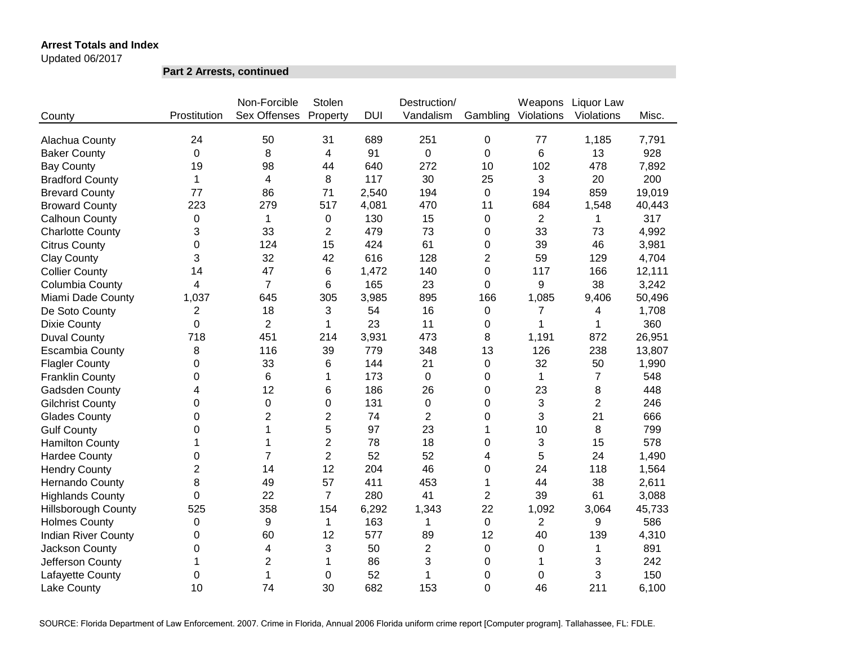Updated 06/2017

**Part 2 Arrests, continued**

|                            |                | Non-Forcible        | Stolen         |            | Destruction/   |                | Weapons        | Liquor Law     |        |
|----------------------------|----------------|---------------------|----------------|------------|----------------|----------------|----------------|----------------|--------|
| County                     | Prostitution   | <b>Sex Offenses</b> | Property       | <b>DUI</b> | Vandalism      | Gambling       | Violations     | Violations     | Misc.  |
| Alachua County             | 24             | 50                  | 31             | 689        | 251            | $\mathbf 0$    | 77             | 1,185          | 7,791  |
| <b>Baker County</b>        | $\Omega$       | 8                   | 4              | 91         | 0              | $\Omega$       | 6              | 13             | 928    |
| <b>Bay County</b>          | 19             | 98                  | 44             | 640        | 272            | 10             | 102            | 478            | 7,892  |
| <b>Bradford County</b>     | 1              | 4                   | 8              | 117        | 30             | 25             | 3              | 20             | 200    |
| <b>Brevard County</b>      | 77             | 86                  | 71             | 2,540      | 194            | $\mathbf 0$    | 194            | 859            | 19,019 |
| <b>Broward County</b>      | 223            | 279                 | 517            | 4,081      | 470            | 11             | 684            | 1,548          | 40,443 |
| Calhoun County             | 0              | $\mathbf 1$         | 0              | 130        | 15             | 0              | $\overline{c}$ | 1              | 317    |
| <b>Charlotte County</b>    | 3              | 33                  | $\overline{2}$ | 479        | 73             | 0              | 33             | 73             | 4,992  |
| <b>Citrus County</b>       | 0              | 124                 | 15             | 424        | 61             | 0              | 39             | 46             | 3,981  |
| <b>Clay County</b>         | 3              | 32                  | 42             | 616        | 128            | 2              | 59             | 129            | 4,704  |
| <b>Collier County</b>      | 14             | 47                  | 6              | 1,472      | 140            | 0              | 117            | 166            | 12,111 |
| Columbia County            | 4              | $\overline{7}$      | 6              | 165        | 23             | 0              | 9              | 38             | 3,242  |
| Miami Dade County          | 1,037          | 645                 | 305            | 3,985      | 895            | 166            | 1,085          | 9,406          | 50,496 |
| De Soto County             | 2              | 18                  | 3              | 54         | 16             | 0              | $\overline{7}$ | 4              | 1,708  |
| <b>Dixie County</b>        | 0              | $\overline{2}$      | 1              | 23         | 11             | 0              | 1              | 1              | 360    |
| <b>Duval County</b>        | 718            | 451                 | 214            | 3,931      | 473            | 8              | 1,191          | 872            | 26,951 |
| <b>Escambia County</b>     | 8              | 116                 | 39             | 779        | 348            | 13             | 126            | 238            | 13,807 |
| <b>Flagler County</b>      | 0              | 33                  | 6              | 144        | 21             | 0              | 32             | 50             | 1,990  |
| <b>Franklin County</b>     | 0              | 6                   | 1              | 173        | 0              | 0              | 1              | $\overline{7}$ | 548    |
| Gadsden County             | 4              | 12                  | 6              | 186        | 26             | 0              | 23             | 8              | 448    |
| <b>Gilchrist County</b>    | 0              | 0                   | $\mathbf 0$    | 131        | 0              | 0              | 3              | $\overline{2}$ | 246    |
| <b>Glades County</b>       | 0              | $\overline{2}$      | $\overline{c}$ | 74         | $\overline{2}$ | 0              | 3              | 21             | 666    |
| <b>Gulf County</b>         | 0              | 1                   | 5              | 97         | 23             | 1              | 10             | 8              | 799    |
| <b>Hamilton County</b>     | 1              | 1                   | $\overline{c}$ | 78         | 18             | 0              | 3              | 15             | 578    |
| <b>Hardee County</b>       | 0              | $\overline{7}$      | $\overline{2}$ | 52         | 52             | 4              | 5              | 24             | 1,490  |
| <b>Hendry County</b>       | $\overline{2}$ | 14                  | 12             | 204        | 46             | 0              | 24             | 118            | 1,564  |
| Hernando County            | 8              | 49                  | 57             | 411        | 453            | 1              | 44             | 38             | 2,611  |
| <b>Highlands County</b>    | 0              | 22                  | $\overline{7}$ | 280        | 41             | $\overline{2}$ | 39             | 61             | 3,088  |
| <b>Hillsborough County</b> | 525            | 358                 | 154            | 6,292      | 1,343          | 22             | 1,092          | 3,064          | 45,733 |
| <b>Holmes County</b>       | 0              | 9                   | 1              | 163        | 1              | $\mathbf 0$    | $\overline{2}$ | 9              | 586    |
| <b>Indian River County</b> | 0              | 60                  | 12             | 577        | 89             | 12             | 40             | 139            | 4,310  |
| Jackson County             | 0              | 4                   | 3              | 50         | $\overline{2}$ | 0              | 0              | 1              | 891    |
| Jefferson County           | 1              | $\overline{2}$      | 1              | 86         | 3              | 0              |                | 3              | 242    |
| Lafayette County           | 0              | 1                   | $\mathbf 0$    | 52         | 1              | 0              | 0              | 3              | 150    |
| Lake County                | 10             | 74                  | 30             | 682        | 153            | $\overline{0}$ | 46             | 211            | 6,100  |